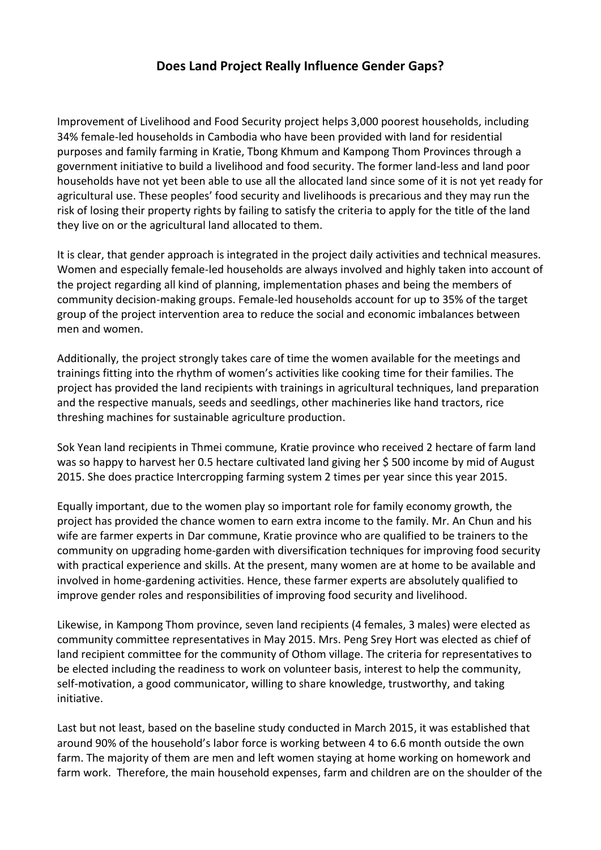## **Does Land Project Really Influence Gender Gaps?**

Improvement of Livelihood and Food Security project helps 3,000 poorest households, including 34% female-led households in Cambodia who have been provided with land for residential purposes and family farming in Kratie, Tbong Khmum and Kampong Thom Provinces through a government initiative to build a livelihood and food security. The former land-less and land poor households have not yet been able to use all the allocated land since some of it is not yet ready for agricultural use. These peoples' food security and livelihoods is precarious and they may run the risk of losing their property rights by failing to satisfy the criteria to apply for the title of the land they live on or the agricultural land allocated to them.

It is clear, that gender approach is integrated in the project daily activities and technical measures. Women and especially female-led households are always involved and highly taken into account of the project regarding all kind of planning, implementation phases and being the members of community decision-making groups. Female-led households account for up to 35% of the target group of the project intervention area to reduce the social and economic imbalances between men and women.

Additionally, the project strongly takes care of time the women available for the meetings and trainings fitting into the rhythm of women's activities like cooking time for their families. The project has provided the land recipients with trainings in agricultural techniques, land preparation and the respective manuals, seeds and seedlings, other machineries like hand tractors, rice threshing machines for sustainable agriculture production.

Sok Yean land recipients in Thmei commune, Kratie province who received 2 hectare of farm land was so happy to harvest her 0.5 hectare cultivated land giving her \$500 income by mid of August 2015. She does practice Intercropping farming system 2 times per year since this year 2015.

Equally important, due to the women play so important role for family economy growth, the project has provided the chance women to earn extra income to the family. Mr. An Chun and his wife are farmer experts in Dar commune, Kratie province who are qualified to be trainers to the community on upgrading home-garden with diversification techniques for improving food security with practical experience and skills. At the present, many women are at home to be available and involved in home-gardening activities. Hence, these farmer experts are absolutely qualified to improve gender roles and responsibilities of improving food security and livelihood.

Likewise, in Kampong Thom province, seven land recipients (4 females, 3 males) were elected as community committee representatives in May 2015. Mrs. Peng Srey Hort was elected as chief of land recipient committee for the community of Othom village. The criteria for representatives to be elected including the readiness to work on volunteer basis, interest to help the community, self-motivation, a good communicator, willing to share knowledge, trustworthy, and taking initiative.

Last but not least, based on the baseline study conducted in March 2015, it was established that around 90% of the household's labor force is working between 4 to 6.6 month outside the own farm. The majority of them are men and left women staying at home working on homework and farm work. Therefore, the main household expenses, farm and children are on the shoulder of the